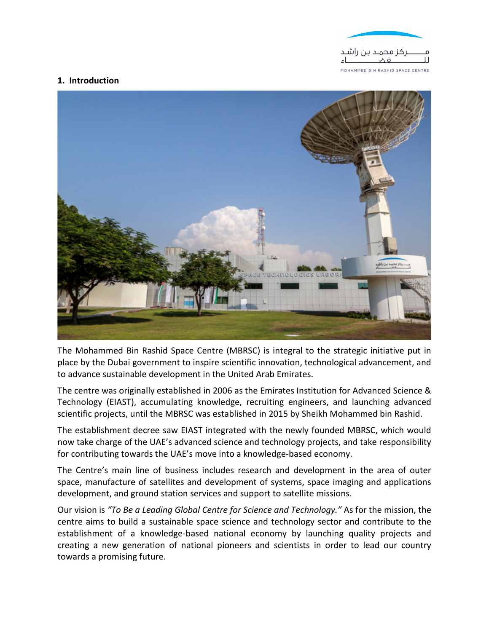

## **1. Introduction**



The Mohammed Bin Rashid Space Centre (MBRSC) is integral to the strategic initiative put in place by the Dubai government to inspire scientific innovation, technological advancement, and to advance sustainable development in the United Arab Emirates.

The centre was originally established in 2006 as the Emirates Institution for Advanced Science & Technology (EIAST), accumulating knowledge, recruiting engineers, and launching advanced scientific projects, until the MBRSC was established in 2015 by Sheikh Mohammed bin Rashid.

The establishment decree saw EIAST integrated with the newly founded MBRSC, which would now take charge of the UAE's advanced science and technology projects, and take responsibility for contributing towards the UAE's move into a knowledge-based economy.

The Centre's main line of business includes research and development in the area of outer space, manufacture of satellites and development of systems, space imaging and applications development, and ground station services and support to satellite missions.

Our vision is *"To Be a Leading Global Centre for Science and Technology."* As for the mission, the centre aims to build a sustainable space science and technology sector and contribute to the establishment of a knowledge-based national economy by launching quality projects and creating a new generation of national pioneers and scientists in order to lead our country towards a promising future.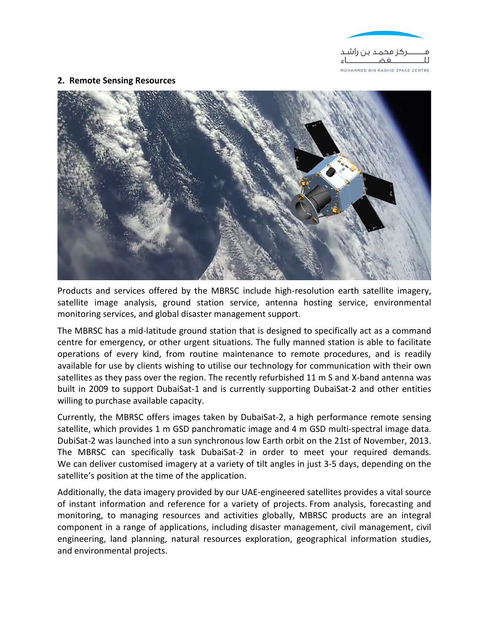

## **2. Remote Sensing Resources**



Products and services offered by the MBRSC include high-resolution earth satellite imagery, satellite image analysis, ground station service, antenna hosting service, environmental monitoring services, and global disaster management support.

The MBRSC has a mid-latitude ground station that is designed to specifically act as a command centre for emergency, or other urgent situations. The fully manned station is able to facilitate operations of every kind, from routine maintenance to remote procedures, and is readily available for use by clients wishing to utilise our technology for communication with their own satellites as they pass over the region. The recently refurbished 11 m S and X-band antenna was built in 2009 to support DubaiSat-1 and is currently supporting DubaiSat-2 and other entities willing to purchase available capacity.

Currently, the MBRSC offers images taken by DubaiSat-2, a high performance remote sensing satellite, which provides 1 m GSD panchromatic image and 4 m GSD multi-spectral image data. DubiSat-2 was launched into a sun synchronous low Earth orbit on the 21st of November, 2013. The MBRSC can specifically task DubaiSat-2 in order to meet your required demands. We can deliver customised imagery at a variety of tilt angles in just 3-5 days, depending on the satellite's position at the time of the application.

Additionally, the data imagery provided by our UAE-engineered satellites provides a vital source of instant information and reference for a variety of projects. From analysis, forecasting and monitoring, to managing resources and activities globally, MBRSC products are an integral component in a range of applications, including disaster management, civil management, civil engineering, land planning, natural resources exploration, geographical information studies, and environmental projects.